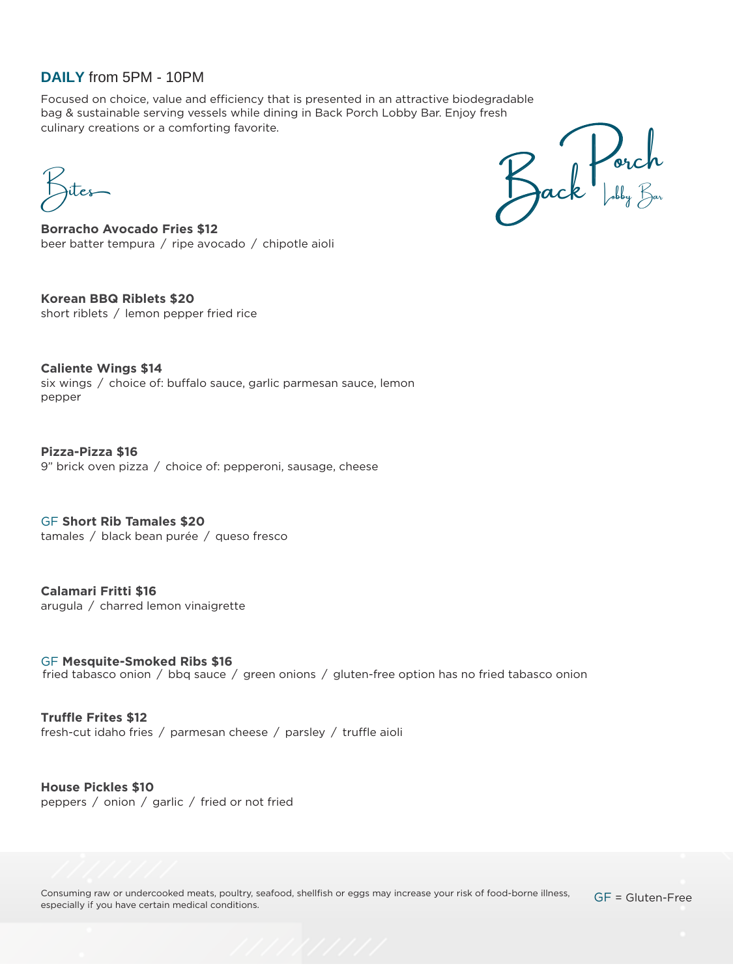## **DAILY** from 5PM - 10PM

Focused on choice, value and efficiency that is presented in an attractive biodegradable bag & sustainable serving vessels while dining in Back Porch Lobby Bar. Enjoy fresh culinary creations or a comforting favorite.

Bites

Jack Lorch

**Borracho Avocado Fries \$12** beer batter tempura / ripe avocado / chipotle aioli

**Korean BBQ Riblets \$20** short riblets / lemon pepper fried rice

**Caliente Wings \$14**  six wings / choice of: buffalo sauce, garlic parmesan sauce, lemon pepper

**Pizza-Pizza \$16**  9" brick oven pizza / choice of: pepperoni, sausage, cheese

GF **Short Rib Tamales \$20**  tamales / black bean purée / queso fresco

**Calamari Fritti \$16**  arugula / charred lemon vinaigrette

GF **Mesquite-Smoked Ribs \$16**  fried tabasco onion / bbq sauce / green onions / gluten-free option has no fried tabasco onion

**Truffle Frites \$12**  fresh-cut idaho fries / parmesan cheese / parsley / truffle aioli

**House Pickles \$10**  peppers / onion / garlic / fried or not fried

Consuming raw or undercooked meats, poultry, seafood, shellfish or eggs may increase your risk of food-borne illness, especially if you have certain medical conditions.

GF = Gluten-Free